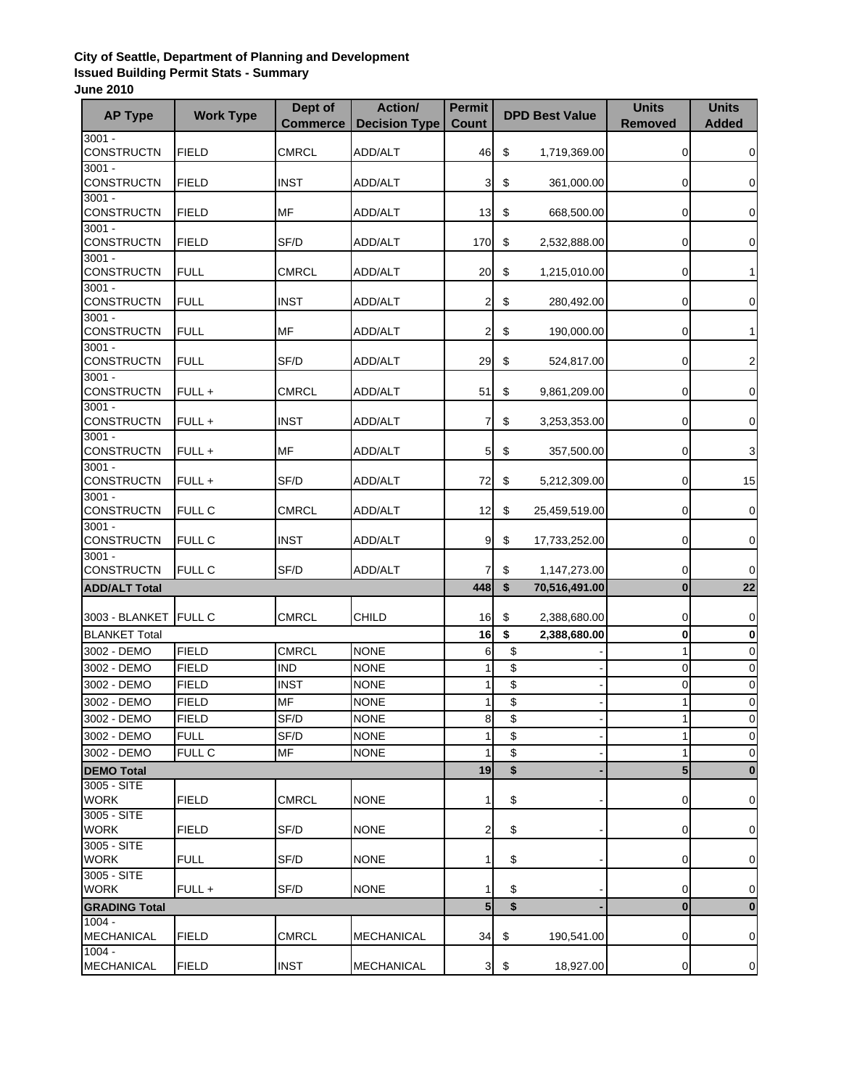## **City of Seattle, Department of Planning and Development Issued Building Permit Stats - Summary June 2010**

| <b>AP Type</b>                         | <b>Work Type</b> | Dept of<br><b>Commerce</b> | <b>Action/</b><br><b>Decision Type</b> | <b>Permit</b><br><b>Count</b> |                         | <b>DPD Best Value</b>        | <b>Units</b><br><b>Removed</b> | <b>Units</b><br><b>Added</b> |
|----------------------------------------|------------------|----------------------------|----------------------------------------|-------------------------------|-------------------------|------------------------------|--------------------------------|------------------------------|
| $3001 -$<br><b>CONSTRUCTN</b>          |                  | <b>CMRCL</b>               |                                        |                               |                         |                              |                                |                              |
| $3001 -$                               | <b>FIELD</b>     |                            | ADD/ALT                                | 46                            | \$                      | 1,719,369.00                 | 0                              | 0                            |
| <b>CONSTRUCTN</b>                      | <b>FIELD</b>     | <b>INST</b>                | ADD/ALT                                | 3                             | \$                      | 361,000.00                   | 0                              | 0                            |
| $3001 -$                               |                  |                            |                                        |                               |                         |                              |                                |                              |
| CONSTRUCTN                             | <b>FIELD</b>     | <b>MF</b>                  | ADD/ALT                                | 13                            | \$                      | 668,500.00                   | 0                              | 0                            |
| $3001 -$<br><b>CONSTRUCTN</b>          | <b>FIELD</b>     | SF/D                       | ADD/ALT                                | 170                           | \$                      | 2,532,888.00                 | 0                              | $\mathbf 0$                  |
| $3001 -$                               |                  |                            |                                        |                               |                         |                              |                                |                              |
| CONSTRUCTN                             | <b>FULL</b>      | <b>CMRCL</b>               | ADD/ALT                                | 20                            | \$                      | 1,215,010.00                 | 0                              | 1                            |
| $3001 -$                               |                  |                            |                                        |                               |                         |                              |                                |                              |
| <b>CONSTRUCTN</b><br>$3001 -$          | <b>FULL</b>      | <b>INST</b>                | ADD/ALT                                | $\overline{2}$                | \$                      | 280,492.00                   | 0                              | 0                            |
| <b>CONSTRUCTN</b>                      | <b>FULL</b>      | MF                         | ADD/ALT                                | $\mathbf{2}$                  | \$                      | 190,000.00                   | 0                              | 1                            |
| $3001 -$                               |                  |                            |                                        |                               |                         |                              |                                |                              |
| <b>CONSTRUCTN</b>                      | <b>FULL</b>      | SF/D                       | ADD/ALT                                | 29                            | \$                      | 524,817.00                   | 0                              | $\overline{\mathbf{c}}$      |
| $3001 -$<br>CONSTRUCTN                 | FULL +           | CMRCL                      | ADD/ALT                                | 51                            | \$                      | 9,861,209.00                 | 0                              | $\mathbf 0$                  |
| $3001 -$                               |                  |                            |                                        |                               |                         |                              |                                |                              |
| CONSTRUCTN                             | FULL+            | <b>INST</b>                | ADD/ALT                                | $\overline{7}$                | \$                      | 3,253,353.00                 | 0                              | 0                            |
| $3001 -$                               |                  |                            |                                        |                               |                         |                              |                                |                              |
| <b>CONSTRUCTN</b>                      | FULL+            | MF                         | ADD/ALT                                | 5 <sub>l</sub>                | \$                      | 357,500.00                   | 0                              | 3                            |
| $3001 -$<br><b>CONSTRUCTN</b>          | FULL+            | SF/D                       | ADD/ALT                                | 72                            | \$                      | 5,212,309.00                 | 0                              | 15                           |
| $3001 -$                               |                  |                            |                                        |                               |                         |                              |                                |                              |
| CONSTRUCTN                             | <b>FULL C</b>    | <b>CMRCL</b>               | ADD/ALT                                | 12                            | \$                      | 25,459,519.00                | 0                              | $\mathbf 0$                  |
| $3001 -$                               |                  |                            |                                        |                               |                         |                              |                                |                              |
| <b>CONSTRUCTN</b><br>$3001 -$          | <b>FULL C</b>    | <b>INST</b>                | ADD/ALT                                | 9                             | \$                      | 17,733,252.00                | 0                              | 0                            |
| CONSTRUCTN                             | <b>FULL C</b>    | SF/D                       | ADD/ALT                                | $\overline{7}$                | \$                      | 1,147,273.00                 | 0                              | $\mathbf 0$                  |
| <b>ADD/ALT Total</b>                   |                  |                            |                                        | 448                           | \$                      | 70,516,491.00                | $\bf{0}$                       | 22                           |
|                                        |                  |                            |                                        |                               |                         |                              |                                |                              |
| 3003 - BLANKET<br><b>BLANKET Total</b> | <b>FULL C</b>    | <b>CMRCL</b>               | <b>CHILD</b>                           | 16<br>16                      | \$<br>\$                | 2,388,680.00<br>2,388,680.00 | 0<br>0                         | $\pmb{0}$<br>$\bf{0}$        |
| 3002 - DEMO                            | <b>FIELD</b>     | <b>CMRCL</b>               | <b>NONE</b>                            | 6                             | \$                      |                              | $\mathbf{1}$                   | $\mathbf 0$                  |
| 3002 - DEMO                            | <b>FIELD</b>     | <b>IND</b>                 | <b>NONE</b>                            | 1                             | \$                      |                              | 0                              | $\mathbf 0$                  |
| 3002 - DEMO                            | <b>FIELD</b>     | <b>INST</b>                | <b>NONE</b>                            | 1                             | \$                      |                              | 0                              | $\mathbf 0$                  |
| 3002 - DEMO                            | <b>FIELD</b>     | <b>MF</b>                  | <b>NONE</b>                            | 1                             | \$                      |                              | 1                              | $\mathbf 0$                  |
| 3002 - DEMO                            | <b>FIELD</b>     | SF/D                       | <b>NONE</b>                            | 8                             | \$                      |                              |                                | 0                            |
| 3002 - DEMO                            | <b>FULL</b>      | SF/D                       | <b>NONE</b>                            | 1                             | $\overline{\mathbb{S}}$ |                              |                                | $\mathbf 0$                  |
| 3002 - DEMO                            | FULL C           | <b>MF</b>                  | <b>NONE</b>                            | 1                             | \$                      |                              | $\mathbf{1}$                   | $\mathbf 0$                  |
| <b>DEMO Total</b>                      |                  |                            |                                        | 19                            | \$                      |                              | 5                              | $\bf{0}$                     |
| $3005 - SITE$                          |                  |                            |                                        |                               |                         |                              |                                |                              |
| <b>WORK</b><br>3005 - SITE             | <b>FIELD</b>     | <b>CMRCL</b>               | <b>NONE</b>                            | $\mathbf{1}$                  | \$                      |                              | 0                              | $\mathbf 0$                  |
| <b>WORK</b>                            | <b>FIELD</b>     | SF/D                       | <b>NONE</b>                            | $\overline{2}$                | \$                      |                              | 0                              | 0                            |
| 3005 - SITE                            |                  |                            |                                        |                               |                         |                              |                                |                              |
| <b>WORK</b>                            | <b>FULL</b>      | SF/D                       | <b>NONE</b>                            | $\mathbf{1}$                  | \$                      |                              | 0                              | 0                            |
| 3005 - SITE<br><b>WORK</b>             | FULL+            | SF/D                       | <b>NONE</b>                            | 1                             | \$                      |                              | 0                              | $\mathbf 0$                  |
| <b>GRADING Total</b>                   |                  |                            |                                        | $\overline{\mathbf{5}}$       | $\overline{\mathbf{S}}$ |                              | $\bf{0}$                       | $\bf{0}$                     |
| $1004 -$                               |                  |                            |                                        |                               |                         |                              |                                |                              |
| MECHANICAL                             | <b>FIELD</b>     | <b>CMRCL</b>               | MECHANICAL                             | 34                            | \$                      | 190,541.00                   | 0                              | $\mathbf 0$                  |
| $1004 -$<br><b>MECHANICAL</b>          | <b>FIELD</b>     | <b>INST</b>                | <b>MECHANICAL</b>                      | $\mathbf{3}$                  | \$                      | 18,927.00                    | 0                              | $\overline{0}$               |